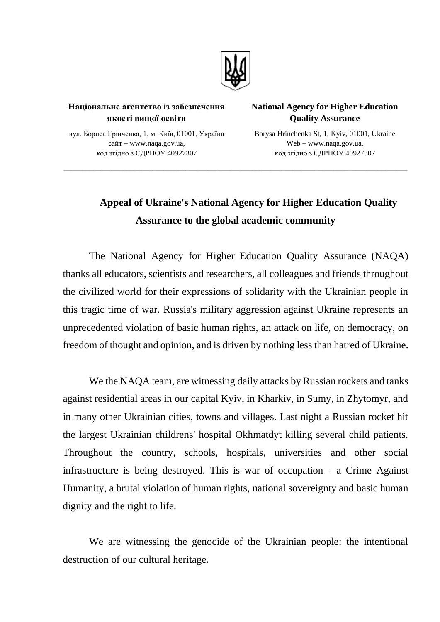

\_\_\_\_\_\_\_\_\_\_\_\_\_\_\_\_\_\_\_\_\_\_\_\_\_\_\_\_\_\_\_\_\_\_\_\_\_\_\_\_\_\_\_\_\_\_\_\_\_\_\_\_\_\_\_\_\_\_\_\_\_\_\_\_\_\_\_\_\_\_\_\_\_\_\_\_\_\_\_\_\_\_\_\_\_\_\_\_\_\_\_\_\_

## **Національне агентство із забезпечення якості вищої освіти**

## **National Agency for Higher Education Quality Assurance**

вул. Бориса Грінченка, 1, м. Київ, 01001, Україна сайт – www.naqa.gov.ua, код згідно з ЄДРПОУ 40927307

Borysa Hrinchenka St, 1, Kyiv, 01001, Ukraine Web – www.naqa.gov.ua, код згідно з ЄДРПОУ 40927307

## **Appeal of Ukraine's National Agency for Higher Education Quality Assurance to the global academic community**

The National Agency for Higher Education Quality Assurance (NAQA) thanks all educators, scientists and researchers, all colleagues and friends throughout the civilized world for their expressions of solidarity with the Ukrainian people in this tragic time of war. Russia's military aggression against Ukraine represents an unprecedented violation of basic human rights, an attack on life, on democracy, on freedom of thought and opinion, and is driven by nothing less than hatred of Ukraine.

We the NAQA team, are witnessing daily attacks by Russian rockets and tanks against residential areas in our capital Kyiv, in Kharkiv, in Sumy, in Zhytomyr, and in many other Ukrainian cities, towns and villages. Last night a Russian rocket hit the largest Ukrainian childrens' hospital Okhmatdyt killing several child patients. Throughout the country, schools, hospitals, universities and other social infrastructure is being destroyed. This is war of occupation - a Crime Against Humanity, a brutal violation of human rights, national sovereignty and basic human dignity and the right to life.

We are witnessing the genocide of the Ukrainian people: the intentional destruction of our cultural heritage.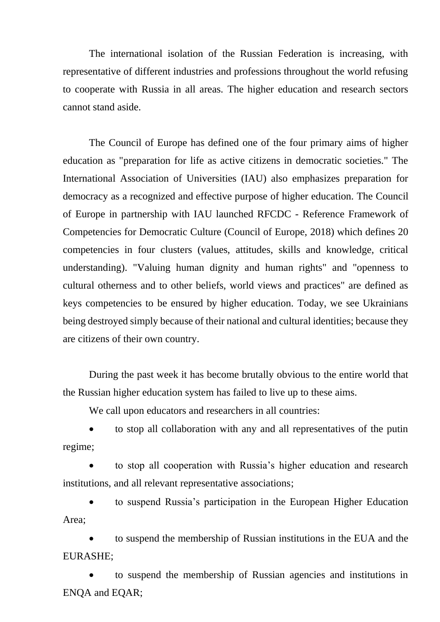The international isolation of the Russian Federation is increasing, with representative of different industries and professions throughout the world refusing to cooperate with Russia in all areas. The higher education and research sectors cannot stand aside.

The Council of Europe has defined one of the four primary aims of higher education as "preparation for life as active citizens in democratic societies." The International Association of Universities (IAU) also emphasizes preparation for democracy as a recognized and effective purpose of higher education. The Council of Europe in partnership with IAU launched RFCDC - Reference Framework of Competencies for Democratic Culture (Council of Europe, 2018) which defines 20 competencies in four clusters (values, attitudes, skills and knowledge, critical understanding). "Valuing human dignity and human rights" and "openness to cultural otherness and to other beliefs, world views and practices" are defined as keys competencies to be ensured by higher education. Today, we see Ukrainians being destroyed simply because of their national and cultural identities; because they are citizens of their own country.

During the past week it has become brutally obvious to the entire world that the Russian higher education system has failed to live up to these aims.

We call upon educators and researchers in all countries:

• to stop all collaboration with any and all representatives of the putin regime;

• to stop all cooperation with Russia's higher education and research institutions, and all relevant representative associations;

• to suspend Russia's participation in the European Higher Education Area;

• to suspend the membership of Russian institutions in the EUA and the EURASHE;

• to suspend the membership of Russian agencies and institutions in ENQA and EQAR;